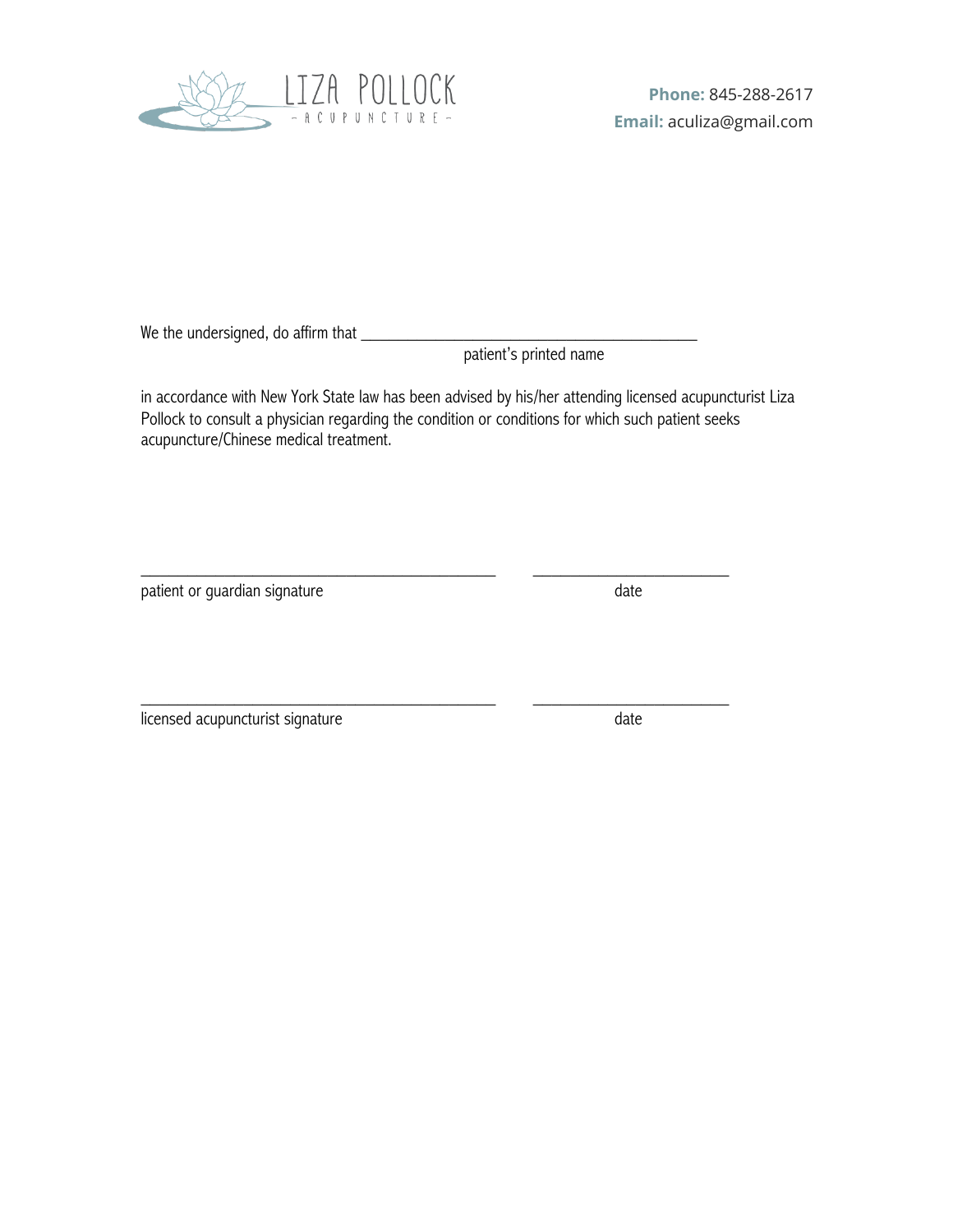

We the undersigned, do affirm that \_

patient's printed name

in accordance with New York State law has been advised by his/her attending licensed acupuncturist Liza Pollock to consult a physician regarding the condition or conditions for which such patient seeks acupuncture/Chinese medical treatment.

\_\_\_\_\_\_\_\_\_\_\_\_\_\_\_\_\_\_\_\_\_\_\_\_\_\_\_\_\_\_\_\_\_\_\_\_\_\_ \_\_\_\_\_\_\_\_\_\_\_\_\_\_\_\_\_\_\_\_\_

patient or guardian signature date date

licensed acupuncturist signature date date date

\_\_\_\_\_\_\_\_\_\_\_\_\_\_\_\_\_\_\_\_\_\_\_\_\_\_\_\_\_\_\_\_\_\_\_\_\_\_ \_\_\_\_\_\_\_\_\_\_\_\_\_\_\_\_\_\_\_\_\_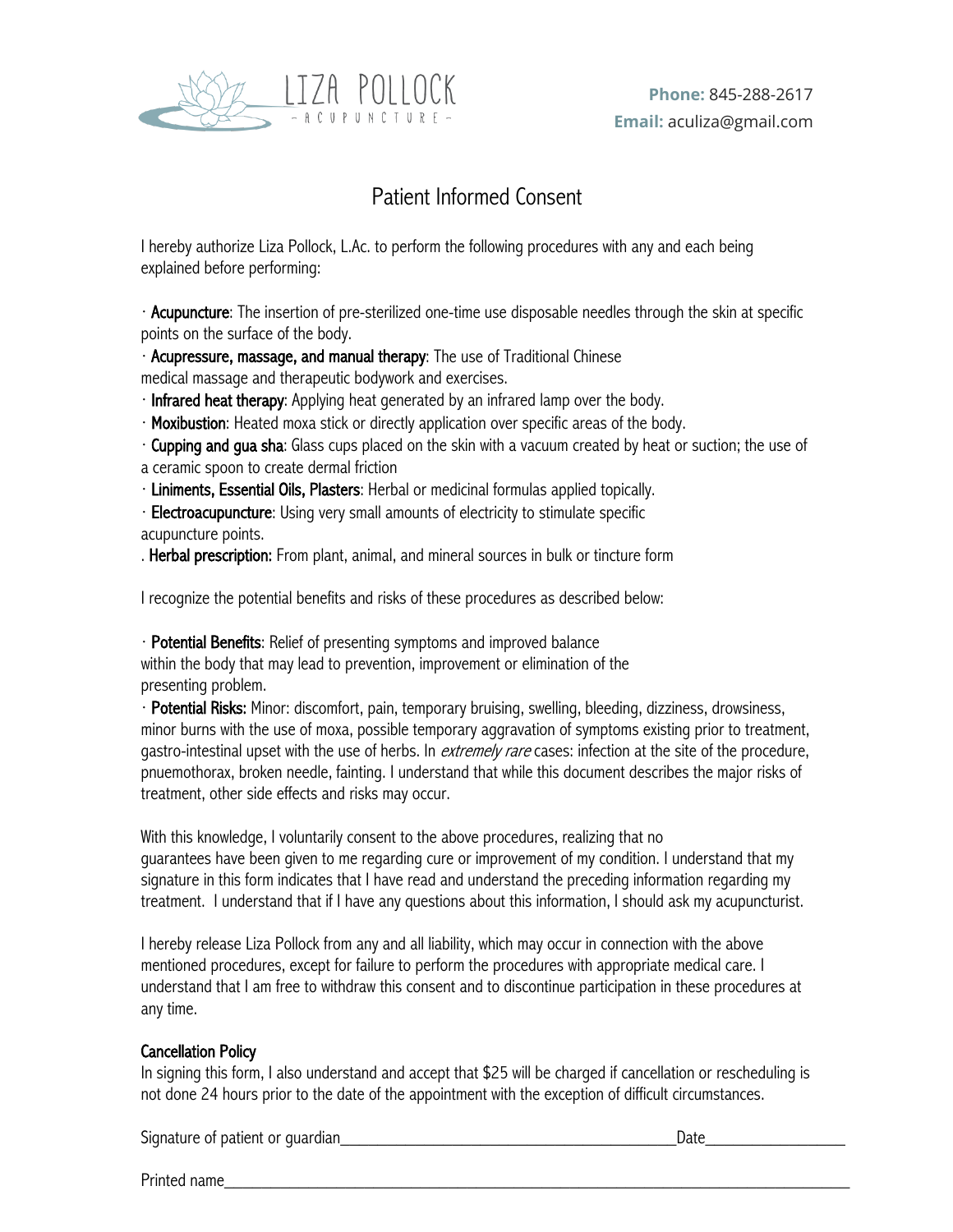

# Patient Informed Consent

I hereby authorize Liza Pollock, L.Ac. to perform the following procedures with any and each being explained before performing:

· Acupuncture: The insertion of pre-sterilized one-time use disposable needles through the skin at specific points on the surface of the body.

· Acupressure, massage, and manual therapy: The use of Traditional Chinese medical massage and therapeutic bodywork and exercises.

· Infrared heat therapy: Applying heat generated by an infrared lamp over the body.

· Moxibustion: Heated moxa stick or directly application over specific areas of the body.

· Cupping and gua sha: Glass cups placed on the skin with a vacuum created by heat or suction; the use of a ceramic spoon to create dermal friction

· Liniments, Essential Oils, Plasters: Herbal or medicinal formulas applied topically.

· Electroacupuncture: Using very small amounts of electricity to stimulate specific

## acupuncture points.

. Herbal prescription: From plant, animal, and mineral sources in bulk or tincture form

I recognize the potential benefits and risks of these procedures as described below:

· Potential Benefits: Relief of presenting symptoms and improved balance within the body that may lead to prevention, improvement or elimination of the presenting problem.

· Potential Risks: Minor: discomfort, pain, temporary bruising, swelling, bleeding, dizziness, drowsiness, minor burns with the use of moxa, possible temporary aggravation of symptoms existing prior to treatment, gastro-intestinal upset with the use of herbs. In *extremely rare* cases: infection at the site of the procedure, pnuemothorax, broken needle, fainting. I understand that while this document describes the major risks of treatment, other side effects and risks may occur.

With this knowledge, I voluntarily consent to the above procedures, realizing that no guarantees have been given to me regarding cure or improvement of my condition. I understand that my signature in this form indicates that I have read and understand the preceding information regarding my treatment. I understand that if I have any questions about this information, I should ask my acupuncturist.

I hereby release Liza Pollock from any and all liability, which may occur in connection with the above mentioned procedures, except for failure to perform the procedures with appropriate medical care. I understand that I am free to withdraw this consent and to discontinue participation in these procedures at any time.

## Cancellation Policy

In signing this form, I also understand and accept that \$25 will be charged if cancellation or rescheduling is not done 24 hours prior to the date of the appointment with the exception of difficult circumstances.

Signature of patient or guardian\_\_\_\_\_\_\_\_\_\_\_\_\_\_\_\_\_\_\_\_\_\_\_\_\_\_\_\_\_\_\_\_\_\_\_\_Date\_\_\_\_\_\_\_\_\_\_\_\_\_\_\_

Printed name\_\_\_\_\_\_\_\_\_\_\_\_\_\_\_\_\_\_\_\_\_\_\_\_\_\_\_\_\_\_\_\_\_\_\_\_\_\_\_\_\_\_\_\_\_\_\_\_\_\_\_\_\_\_\_\_\_\_\_\_\_\_\_\_\_\_\_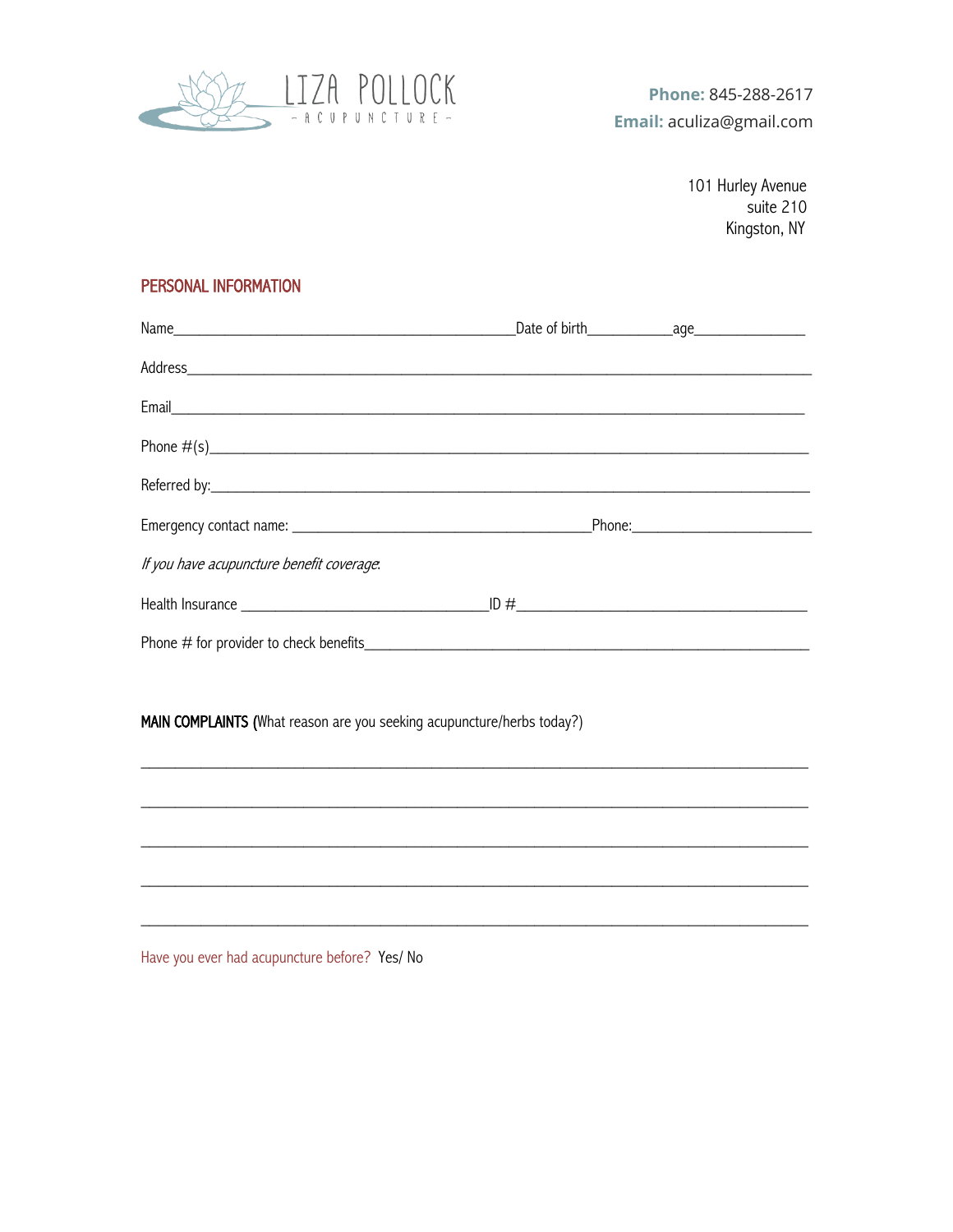

101 Hurley Avenue suite 210 Kingston, NY

## PERSONAL INFORMATION

| Name 2010 Compare to the Comparison of Section 2010 of Sirth Compare to the Comparison of Section 2010 12:00 AM |  |  |
|-----------------------------------------------------------------------------------------------------------------|--|--|
|                                                                                                                 |  |  |
|                                                                                                                 |  |  |
|                                                                                                                 |  |  |
|                                                                                                                 |  |  |
|                                                                                                                 |  |  |
| If you have acupuncture benefit coverage.                                                                       |  |  |
|                                                                                                                 |  |  |
|                                                                                                                 |  |  |
|                                                                                                                 |  |  |
| MAIN COMPLAINTS (What reason are you seeking acupuncture/herbs today?)                                          |  |  |
| ,我们也不会有什么。""我们的人,我们也不会有什么?""我们的人,我们也不会有什么?""我们的人,我们也不会有什么?""我们的人,我们也不会有什么?""我们的人                                |  |  |
|                                                                                                                 |  |  |
|                                                                                                                 |  |  |
|                                                                                                                 |  |  |

Have you ever had acupuncture before? Yes/ No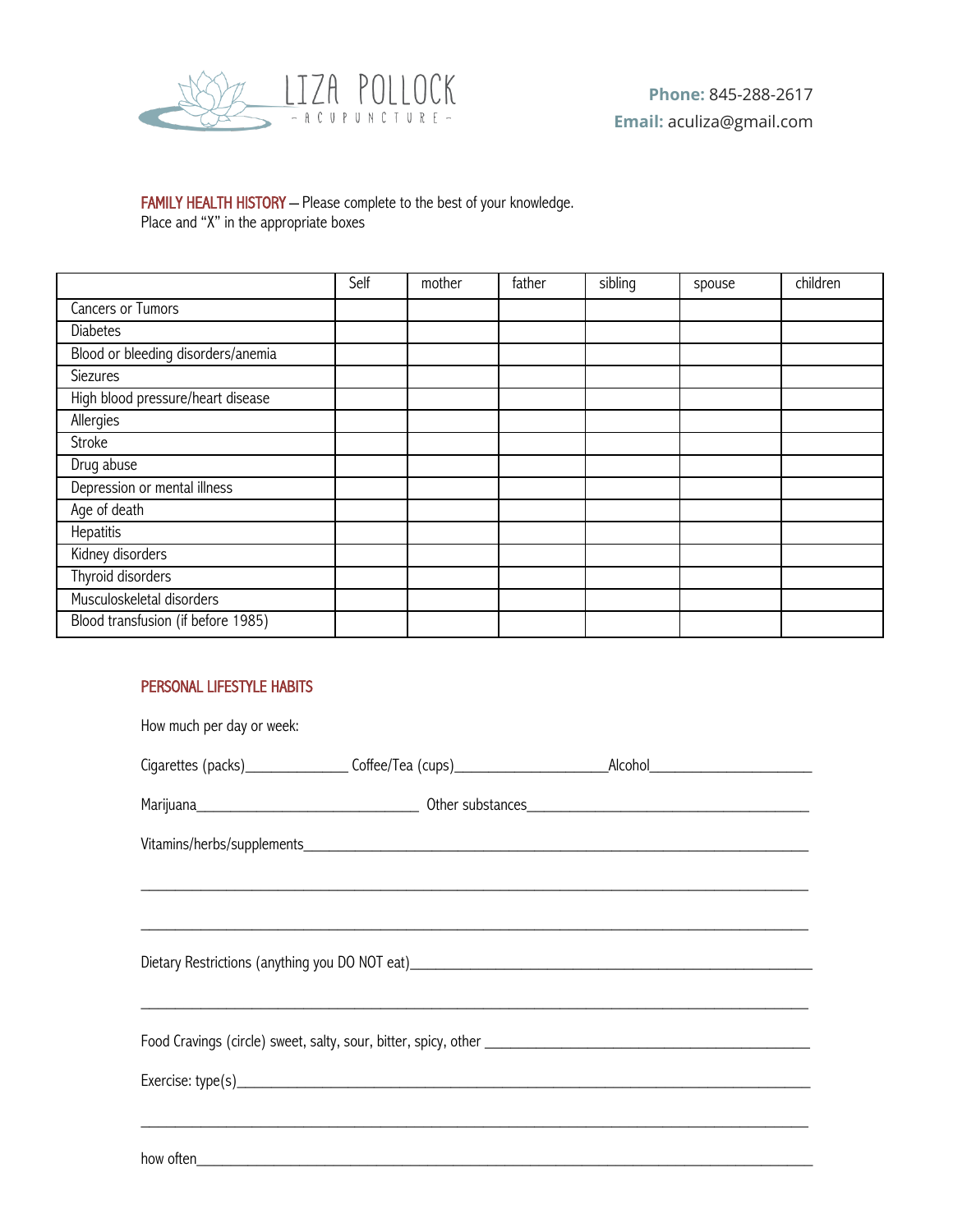

## FAMILY HEALTH HISTORY - Please complete to the best of your knowledge. Place and "X" in the appropriate boxes

Self | mother | father | sibling | spouse | children Cancers or Tumors **Diabetes** Blood or bleeding disorders/anemia Siezures High blood pressure/heart disease Allergies **Stroke** Drug abuse Depression or mental illness Age of death **Hepatitis** Kidney disorders Thyroid disorders Musculoskeletal disorders Blood transfusion (if before 1985)

## PERSONAL LIFESTYLE HABITS

| How much per day or week: |                                                                                                                                                                                                                                      |  |  |
|---------------------------|--------------------------------------------------------------------------------------------------------------------------------------------------------------------------------------------------------------------------------------|--|--|
|                           | Cigarettes (packs)_________________Coffee/Tea (cups)____________________________Alcohol_______________________                                                                                                                       |  |  |
|                           |                                                                                                                                                                                                                                      |  |  |
|                           |                                                                                                                                                                                                                                      |  |  |
|                           |                                                                                                                                                                                                                                      |  |  |
|                           |                                                                                                                                                                                                                                      |  |  |
|                           |                                                                                                                                                                                                                                      |  |  |
|                           |                                                                                                                                                                                                                                      |  |  |
|                           |                                                                                                                                                                                                                                      |  |  |
|                           |                                                                                                                                                                                                                                      |  |  |
|                           |                                                                                                                                                                                                                                      |  |  |
|                           | how often <b>contract the contract of the contract of the contract of the contract of the contract of the contract of the contract of the contract of the contract of the contract of the contract of the contract of the contra</b> |  |  |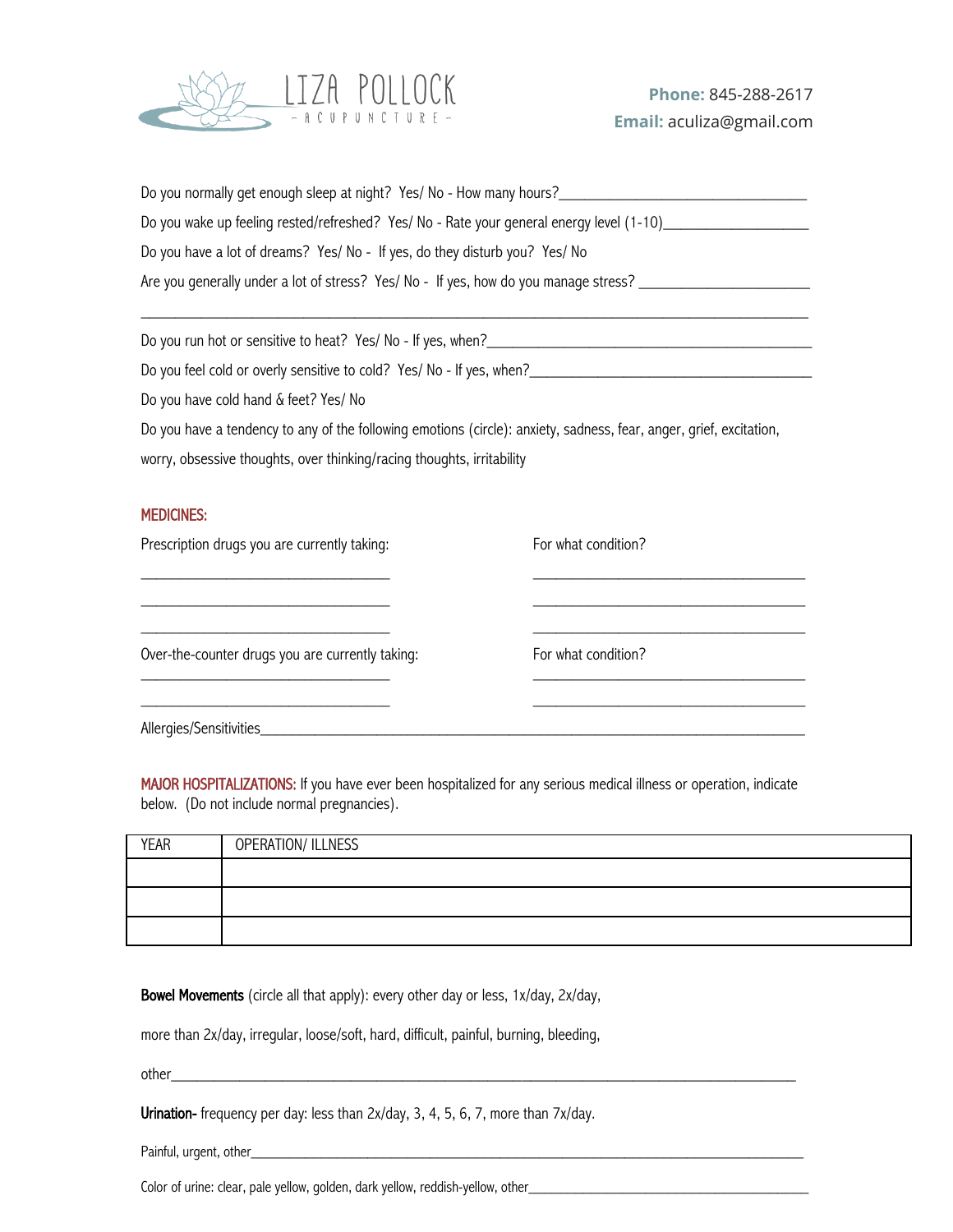

| Do you normally get enough sleep at night? Yes/ No - How many hours?                         |
|----------------------------------------------------------------------------------------------|
| Do you wake up feeling rested/refreshed? Yes/ No - Rate your general energy level (1-10)____ |
| Do you have a lot of dreams? Yes/ No - If yes, do they disturb you? Yes/ No                  |
| Are you generally under a lot of stress? Yes/ No - If yes, how do you manage stress?         |
|                                                                                              |

Do you run hot or sensitive to heat? Yes/ No - If yes, when?\_\_\_\_\_\_\_\_\_\_\_\_\_\_\_\_\_\_\_\_\_\_\_\_\_\_\_\_\_\_\_\_\_\_\_\_\_\_

Do you feel cold or overly sensitive to cold? Yes/ No - If yes, when?\_\_\_\_\_\_\_\_\_\_\_\_\_\_\_\_\_\_\_\_\_\_\_\_\_\_\_\_\_\_\_\_\_

Do you have cold hand & feet? Yes/ No

Do you have a tendency to any of the following emotions (circle): anxiety, sadness, fear, anger, grief, excitation,

\_\_\_\_\_\_\_\_\_\_\_\_\_\_\_\_\_\_\_\_\_\_\_\_\_\_\_\_\_\_\_\_ \_\_\_\_\_\_\_\_\_\_\_\_\_\_\_\_\_\_\_\_\_\_\_\_\_\_\_\_\_\_\_\_\_\_\_ \_\_\_\_\_\_\_\_\_\_\_\_\_\_\_\_\_\_\_\_\_\_\_\_\_\_\_\_\_\_\_\_ \_\_\_\_\_\_\_\_\_\_\_\_\_\_\_\_\_\_\_\_\_\_\_\_\_\_\_\_\_\_\_\_\_\_\_ \_\_\_\_\_\_\_\_\_\_\_\_\_\_\_\_\_\_\_\_\_\_\_\_\_\_\_\_\_\_\_\_ \_\_\_\_\_\_\_\_\_\_\_\_\_\_\_\_\_\_\_\_\_\_\_\_\_\_\_\_\_\_\_\_\_\_\_

worry, obsessive thoughts, over thinking/racing thoughts, irritability

## MEDICINES:

Prescription drugs you are currently taking: For what condition?

Over-the-counter drugs you are currently taking: For what condition?  $\mathcal{L}_\text{max}$  , and the set of the set of the set of the set of the set of the set of the set of the set of the set of

\_\_\_\_\_\_\_\_\_\_\_\_\_\_\_\_\_\_\_\_\_\_\_\_\_\_\_\_\_\_\_\_ \_\_\_\_\_\_\_\_\_\_\_\_\_\_\_\_\_\_\_\_\_\_\_\_\_\_\_\_\_\_\_\_\_\_\_

Allergies/Sensitivities

MAJOR HOSPITALIZATIONS: If you have ever been hospitalized for any serious medical illness or operation, indicate below. (Do not include normal pregnancies).

| <b>YEAR</b> | <b>OPERATION/ ILLNESS</b> |
|-------------|---------------------------|
|             |                           |
|             |                           |
|             |                           |

Bowel Movements (circle all that apply): every other day or less, 1x/day, 2x/day,

more than 2x/day, irregular, loose/soft, hard, difficult, painful, burning, bleeding,

other\_\_\_\_\_\_\_\_\_\_\_\_\_\_\_\_\_\_\_\_\_\_\_\_\_\_\_\_\_\_\_\_\_\_\_\_\_\_\_\_\_\_\_\_\_\_\_\_\_\_\_\_\_\_\_\_\_\_\_\_\_\_\_\_\_\_\_\_\_\_\_\_\_

Urination- frequency per day: less than 2x/day, 3, 4, 5, 6, 7, more than 7x/day.

Painful, urgent, other\_\_\_\_\_\_\_\_\_\_\_\_\_\_\_\_\_\_\_\_\_\_\_\_\_\_\_\_\_\_\_\_\_\_\_\_\_\_\_\_\_\_\_\_\_\_\_\_\_\_\_\_\_\_\_\_\_\_\_\_\_\_\_\_\_\_\_\_\_\_\_

Color of urine: clear, pale yellow, golden, dark yellow, reddish-yellow, other\_\_\_\_\_\_\_\_\_\_\_\_\_\_\_\_\_\_\_\_\_\_\_\_\_\_\_\_\_\_\_\_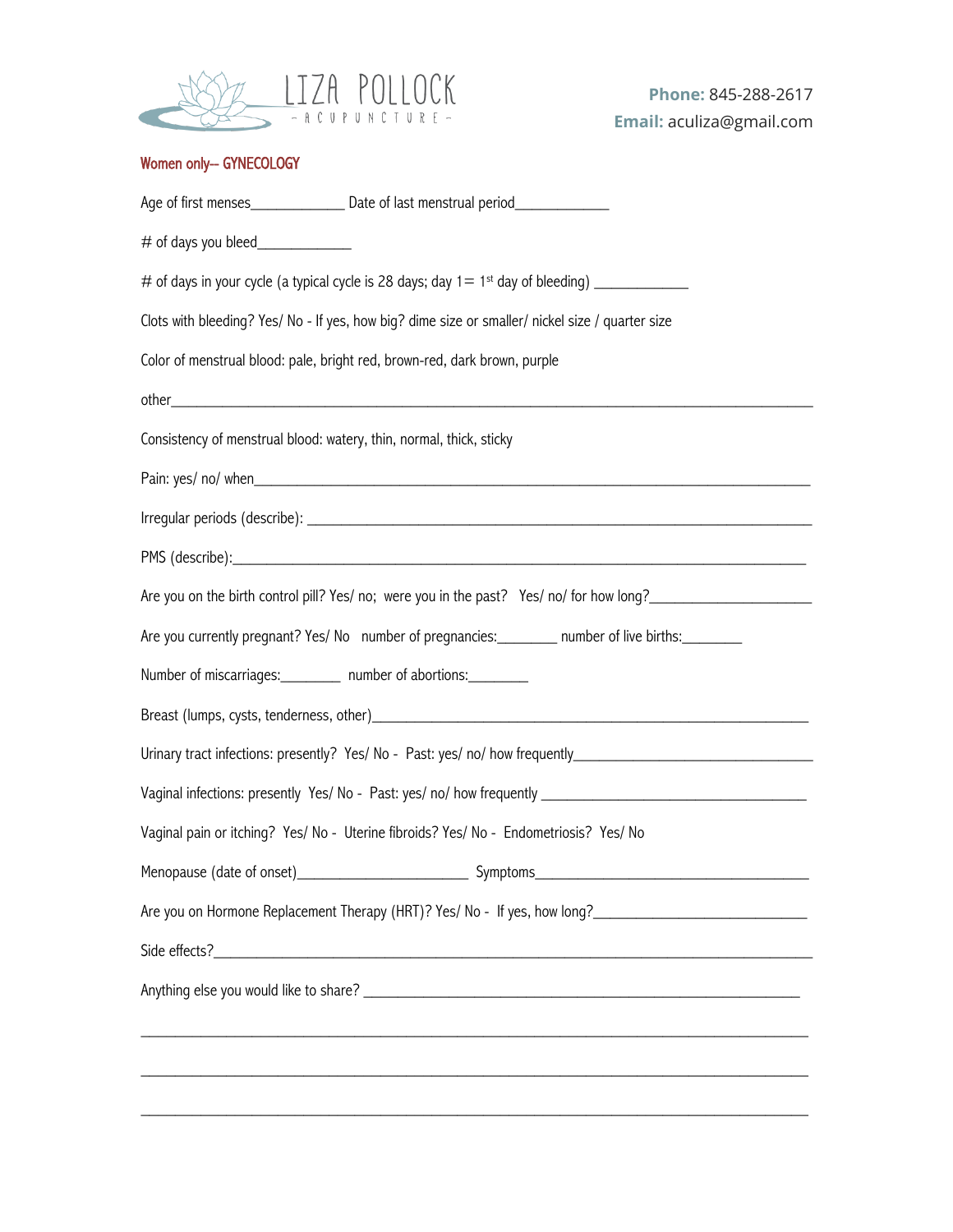

## Women only-- GYNECOLOGY

| Clots with bleeding? Yes/ No - If yes, how big? dime size or smaller/ nickel size / quarter size |                                                                                                      |  |
|--------------------------------------------------------------------------------------------------|------------------------------------------------------------------------------------------------------|--|
|                                                                                                  | Color of menstrual blood: pale, bright red, brown-red, dark brown, purple                            |  |
|                                                                                                  |                                                                                                      |  |
| Consistency of menstrual blood: watery, thin, normal, thick, sticky                              |                                                                                                      |  |
|                                                                                                  |                                                                                                      |  |
|                                                                                                  |                                                                                                      |  |
|                                                                                                  |                                                                                                      |  |
|                                                                                                  | Are you on the birth control pill? Yes/ no; were you in the past? Yes/ no/ for how long?             |  |
|                                                                                                  | Are you currently pregnant? Yes/ No number of pregnancies: _________ number of live births: ________ |  |
| Number of miscarriages: _________ number of abortions: _________                                 |                                                                                                      |  |
|                                                                                                  |                                                                                                      |  |
|                                                                                                  |                                                                                                      |  |
|                                                                                                  | Vaginal infections: presently Yes/No - Past: yes/no/how frequently _________________________________ |  |
|                                                                                                  | Vaginal pain or itching? Yes/ No - Uterine fibroids? Yes/ No - Endometriosis? Yes/ No                |  |
|                                                                                                  |                                                                                                      |  |
|                                                                                                  | Are you on Hormone Replacement Therapy (HRT)? Yes/ No - If yes, how long?                            |  |
|                                                                                                  |                                                                                                      |  |
|                                                                                                  |                                                                                                      |  |
|                                                                                                  |                                                                                                      |  |
|                                                                                                  |                                                                                                      |  |
|                                                                                                  |                                                                                                      |  |
|                                                                                                  |                                                                                                      |  |